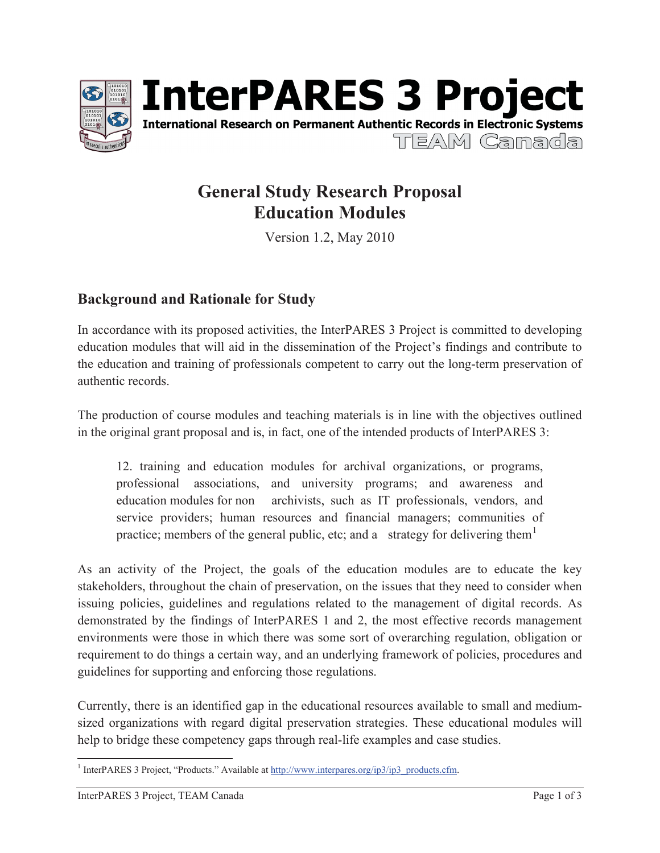



# **General Study Research Proposal Education Modules**

Version 1.2, May 2010

## **Background and Rationale for Study**

In accordance with its proposed activities, the InterPARES 3 Project is committed to developing education modules that will aid in the dissemination of the Project's findings and contribute to the education and training of professionals competent to carry out the long-term preservation of authentic records.

The production of course modules and teaching materials is in line with the objectives outlined in the original grant proposal and is, in fact, one of the intended products of InterPARES 3:

12. training and education modules for archival organizations, or programs, professional associations, and university programs; and awareness and education modules for non archivists, such as IT professionals, vendors, and service providers; human resources and financial managers; communities of practice; members of the general public, etc; and a strategy for delivering them<sup>1</sup>

As an activity of the Project, the goals of the education modules are to educate the key stakeholders, throughout the chain of preservation, on the issues that they need to consider when issuing policies, guidelines and regulations related to the management of digital records. As demonstrated by the findings of InterPARES 1 and 2, the most effective records management environments were those in which there was some sort of overarching regulation, obligation or requirement to do things a certain way, and an underlying framework of policies, procedures and guidelines for supporting and enforcing those regulations.

Currently, there is an identified gap in the educational resources available to small and mediumsized organizations with regard digital preservation strategies. These educational modules will help to bridge these competency gaps through real-life examples and case studies.

<sup>&</sup>lt;sup>1</sup> InterPARES 3 Project, "Products." Available at http://www.interpares.org/ip3/ip3\_products.cfm.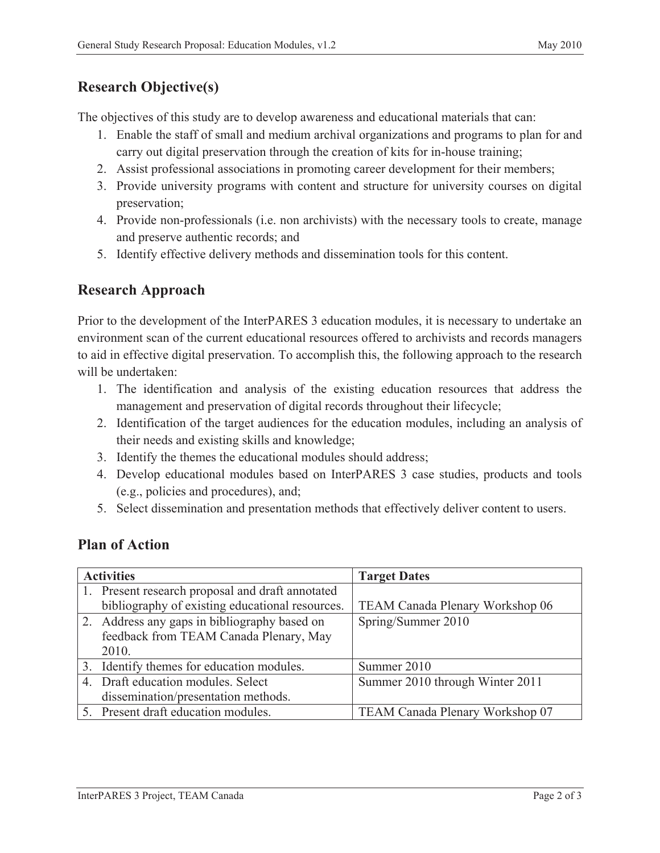# **Research Objective(s)**

The objectives of this study are to develop awareness and educational materials that can:

- 1. Enable the staff of small and medium archival organizations and programs to plan for and carry out digital preservation through the creation of kits for in-house training;
- 2. Assist professional associations in promoting career development for their members;
- 3. Provide university programs with content and structure for university courses on digital preservation;
- 4. Provide non-professionals (i.e. non archivists) with the necessary tools to create, manage and preserve authentic records; and
- 5. Identify effective delivery methods and dissemination tools for this content.

### **Research Approach**

Prior to the development of the InterPARES 3 education modules, it is necessary to undertake an environment scan of the current educational resources offered to archivists and records managers to aid in effective digital preservation. To accomplish this, the following approach to the research will be undertaken:

- 1. The identification and analysis of the existing education resources that address the management and preservation of digital records throughout their lifecycle;
- 2. Identification of the target audiences for the education modules, including an analysis of their needs and existing skills and knowledge;
- 3. Identify the themes the educational modules should address;
- 4. Develop educational modules based on InterPARES 3 case studies, products and tools (e.g., policies and procedures), and;
- 5. Select dissemination and presentation methods that effectively deliver content to users.

#### **Plan of Action**

| <b>Activities</b> |                                                  | <b>Target Dates</b>             |
|-------------------|--------------------------------------------------|---------------------------------|
|                   | 1. Present research proposal and draft annotated |                                 |
|                   | bibliography of existing educational resources.  | TEAM Canada Plenary Workshop 06 |
|                   | 2. Address any gaps in bibliography based on     | Spring/Summer 2010              |
|                   | feedback from TEAM Canada Plenary, May           |                                 |
|                   | 2010.                                            |                                 |
|                   | 3. Identify themes for education modules.        | Summer 2010                     |
|                   | 4. Draft education modules. Select               | Summer 2010 through Winter 2011 |
|                   | dissemination/presentation methods.              |                                 |
|                   | 5. Present draft education modules.              | TEAM Canada Plenary Workshop 07 |